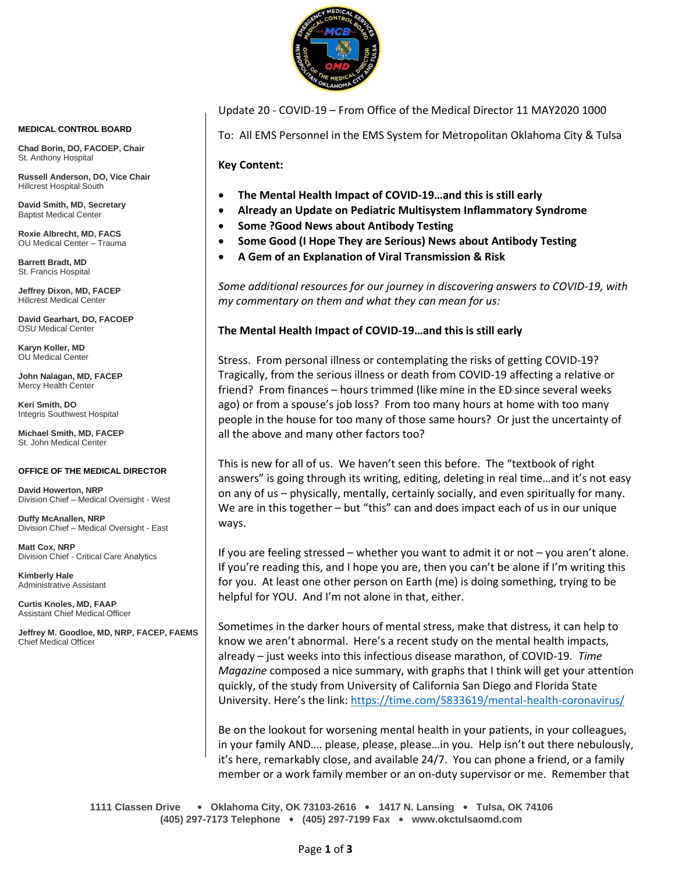

Update 20 - COVID-19 – From Office of the Medical Director 11 MAY2020 1000

To: All EMS Personnel in the EMS System for Metropolitan Oklahoma City & Tulsa

**Key Content:**

- **The Mental Health Impact of COVID-19…and this is still early**
- **Already an Update on Pediatric Multisystem Inflammatory Syndrome**
- **Some ?Good News about Antibody Testing**
- **Some Good (I Hope They are Serious) News about Antibody Testing**
- **A Gem of an Explanation of Viral Transmission & Risk**

*Some additional resources for our journey in discovering answers to COVID-19, with my commentary on them and what they can mean for us:*

#### **The Mental Health Impact of COVID-19…and this is still early**

Stress. From personal illness or contemplating the risks of getting COVID-19? Tragically, from the serious illness or death from COVID-19 affecting a relative or friend? From finances – hours trimmed (like mine in the ED since several weeks ago) or from a spouse's job loss? From too many hours at home with too many people in the house for too many of those same hours? Or just the uncertainty of all the above and many other factors too?

This is new for all of us. We haven't seen this before. The "textbook of right answers" is going through its writing, editing, deleting in real time…and it's not easy on any of us – physically, mentally, certainly socially, and even spiritually for many. We are in this together – but "this" can and does impact each of us in our unique ways.

If you are feeling stressed – whether you want to admit it or not – you aren't alone. If you're reading this, and I hope you are, then you can't be alone if I'm writing this for you. At least one other person on Earth (me) is doing something, trying to be helpful for YOU. And I'm not alone in that, either.

Sometimes in the darker hours of mental stress, make that distress, it can help to know we aren't abnormal. Here's a recent study on the mental health impacts, already – just weeks into this infectious disease marathon, of COVID-19*. Time Magazine* composed a nice summary, with graphs that I think will get your attention quickly, of the study from University of California San Diego and Florida State University. Here's the link: <https://time.com/5833619/mental-health-coronavirus/>

Be on the lookout for worsening mental health in your patients, in your colleagues, in your family AND…. please, please, please…in you. Help isn't out there nebulously, it's here, remarkably close, and available 24/7. You can phone a friend, or a family member or a work family member or an on-duty supervisor or me. Remember that

**1111 Classen Drive** • **Oklahoma City, OK 73103-2616** • **1417 N. Lansing** • **Tulsa, OK 74106 (405) 297-7173 Telephone** • **(405) 297-7199 Fax** • **www.okctulsaomd.com**

#### **MEDICAL CONTROL BOARD**

**Chad Borin, DO, FACOEP, Chair**  St. Anthony Hospital

**Russell Anderson, DO, Vice Chair** Hillcrest Hospital South

**David Smith, MD, Secretary** Baptist Medical Center

**Roxie Albrecht, MD, FACS** OU Medical Center – Trauma

**Barrett Bradt, MD** St. Francis Hospital

**Jeffrey Dixon, MD, FACEP** Hillcrest Medical Center

**David Gearhart, DO, FACOEP** OSU Medical Center

**Karyn Koller, MD** OU Medical Center

**John Nalagan, MD, FACEP** Mercy Health Center

**Keri Smith, DO** Integris Southwest Hospital

**Michael Smith, MD, FACEP** St. John Medical Center

#### **OFFICE OF THE MEDICAL DIRECTOR**

**David Howerton, NRP** Division Chief – Medical Oversight - West

**Duffy McAnallen, NRP** Division Chief – Medical Oversight - East

**Matt Cox, NRP** Division Chief - Critical Care Analytics

**Kimberly Hale** Administrative Assistant

**Curtis Knoles, MD, FAAP** Assistant Chief Medical Officer

**Jeffrey M. Goodloe, MD, NRP, FACEP, FAEMS** Chief Medical Officer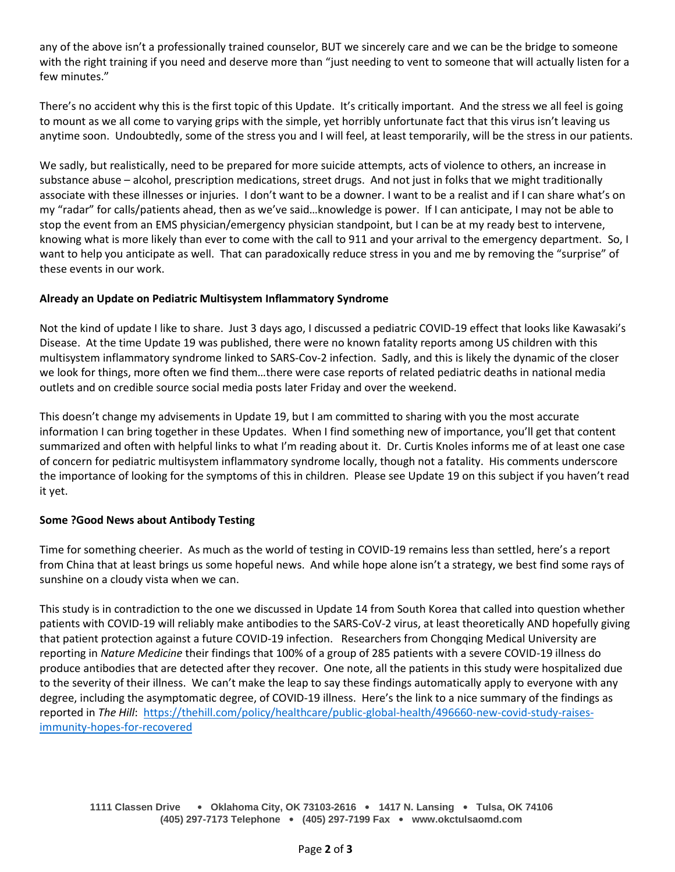any of the above isn't a professionally trained counselor, BUT we sincerely care and we can be the bridge to someone with the right training if you need and deserve more than "just needing to vent to someone that will actually listen for a few minutes."

There's no accident why this is the first topic of this Update. It's critically important. And the stress we all feel is going to mount as we all come to varying grips with the simple, yet horribly unfortunate fact that this virus isn't leaving us anytime soon. Undoubtedly, some of the stress you and I will feel, at least temporarily, will be the stress in our patients.

We sadly, but realistically, need to be prepared for more suicide attempts, acts of violence to others, an increase in substance abuse – alcohol, prescription medications, street drugs. And not just in folks that we might traditionally associate with these illnesses or injuries. I don't want to be a downer. I want to be a realist and if I can share what's on my "radar" for calls/patients ahead, then as we've said…knowledge is power. If I can anticipate, I may not be able to stop the event from an EMS physician/emergency physician standpoint, but I can be at my ready best to intervene, knowing what is more likely than ever to come with the call to 911 and your arrival to the emergency department. So, I want to help you anticipate as well. That can paradoxically reduce stress in you and me by removing the "surprise" of these events in our work.

## **Already an Update on Pediatric Multisystem Inflammatory Syndrome**

Not the kind of update I like to share. Just 3 days ago, I discussed a pediatric COVID-19 effect that looks like Kawasaki's Disease. At the time Update 19 was published, there were no known fatality reports among US children with this multisystem inflammatory syndrome linked to SARS-Cov-2 infection. Sadly, and this is likely the dynamic of the closer we look for things, more often we find them…there were case reports of related pediatric deaths in national media outlets and on credible source social media posts later Friday and over the weekend.

This doesn't change my advisements in Update 19, but I am committed to sharing with you the most accurate information I can bring together in these Updates. When I find something new of importance, you'll get that content summarized and often with helpful links to what I'm reading about it. Dr. Curtis Knoles informs me of at least one case of concern for pediatric multisystem inflammatory syndrome locally, though not a fatality. His comments underscore the importance of looking for the symptoms of this in children. Please see Update 19 on this subject if you haven't read it yet.

#### **Some ?Good News about Antibody Testing**

Time for something cheerier. As much as the world of testing in COVID-19 remains less than settled, here's a report from China that at least brings us some hopeful news. And while hope alone isn't a strategy, we best find some rays of sunshine on a cloudy vista when we can.

This study is in contradiction to the one we discussed in Update 14 from South Korea that called into question whether patients with COVID-19 will reliably make antibodies to the SARS-CoV-2 virus, at least theoretically AND hopefully giving that patient protection against a future COVID-19 infection. Researchers from Chongqing Medical University are reporting in *Nature Medicine* their findings that 100% of a group of 285 patients with a severe COVID-19 illness do produce antibodies that are detected after they recover. One note, all the patients in this study were hospitalized due to the severity of their illness. We can't make the leap to say these findings automatically apply to everyone with any degree, including the asymptomatic degree, of COVID-19 illness. Here's the link to a nice summary of the findings as reported in *The Hill*: [https://thehill.com/policy/healthcare/public-global-health/496660-new-covid-study-raises](https://thehill.com/policy/healthcare/public-global-health/496660-new-covid-study-raises-immunity-hopes-for-recovered)[immunity-hopes-for-recovered](https://thehill.com/policy/healthcare/public-global-health/496660-new-covid-study-raises-immunity-hopes-for-recovered)